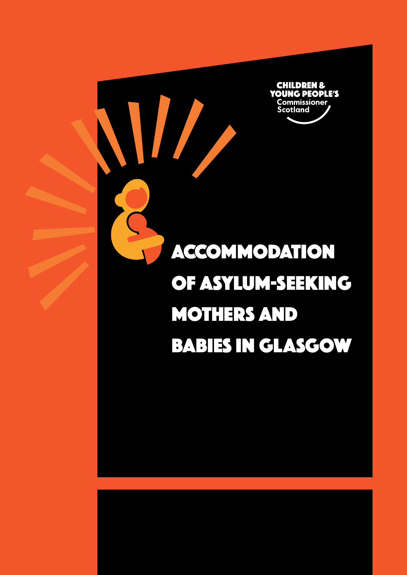

**Alta**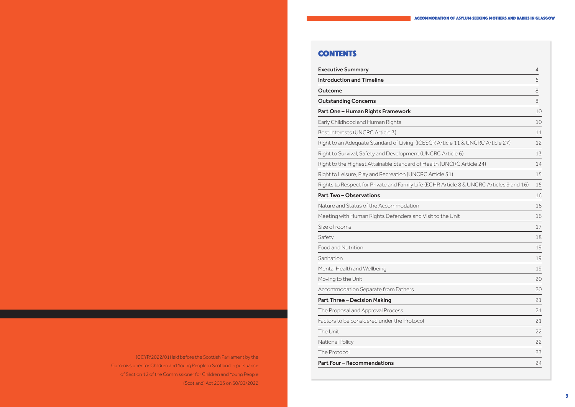# **CONTENTS**

Executive Summary 4 Introduction and Timeline 6 Outcome 8 **Outstanding Concerns** Part One – Human Rights Framework Early Childhood and Human Rights Best Interests (UNCRC Article 3) Right to an Adequate Standard of Living (ICESCR Right to Survival, Safety and Development (UNCF Right to the Highest Attainable Standard of Healt Right to Leisure, Play and Recreation (UNCRC Art Rights to Respect for Private and Family Life (ECH Part Two-Observations Nature and Status of the Accommodation 16 Meeting with Human Rights Defenders and Visit Size of rooms and the state of rooms in the state of rooms  $17$ Safety 2018 - 18 Anna and 2018 - 18 Anna and 2018 - 18 Anna and 2018 - 18 Anna and 2018 - 18 Anna and 2018 - 1 Food and Nutrition Sanitation **19** Mental Health and Wellbeing Moving to the Unit Accommodation Separate from Fathers Part Three - Decision Making The Proposal and Approval Process Factors to be considered under the Protocol The Unit 22 National Policy The Protocol

Part Four – Recommendations

 (CCYP/2022/01) laid before the Scottish Parliament by the Commissioner for Children and Young People in Scotland in pursuance of Section 12 of the Commissioner for Children and Young People (Scotland) Act 2003 on 30/03/2022

#### Accommodation of asylum-seeking mothers and babies in Glasgow

|                                         | $\overline{4}$ |
|-----------------------------------------|----------------|
|                                         | 6              |
|                                         | 8              |
|                                         | 8              |
|                                         | 10             |
|                                         | 10             |
|                                         | 11             |
| R Article 11 & UNCRC Article 27)        | 12             |
| RC Article 6)                           | 13             |
| th (UNCRC Article 24)                   | 14             |
| ticle 31)                               | 15             |
| HR Article 8 & UNCRC Articles 9 and 16) | 15             |
|                                         | 16             |
|                                         | 16             |
| to the Unit                             | 16             |
|                                         | 17             |
|                                         | 18             |
|                                         | 19             |
|                                         | 19             |
|                                         | 19             |
|                                         | 20             |
|                                         | 20             |
|                                         | 21             |
|                                         | 21             |
|                                         | 21             |
|                                         | 22             |
|                                         | 22             |
|                                         | 23             |
|                                         | 24             |
|                                         |                |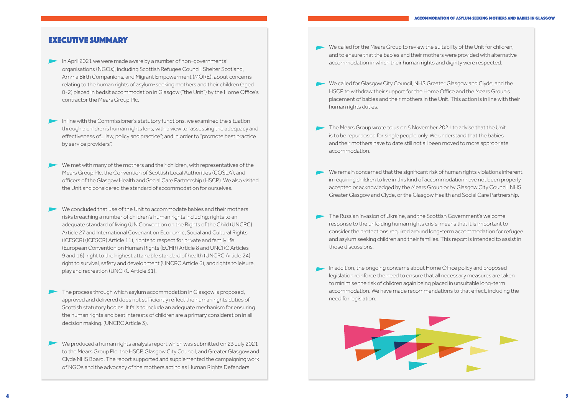- We called for the Mears Group to review the suitability of the Unit for children, and to ensure that the babies and their mothers were provided with alternative accommodation in which their human rights and dignity were respected.
- We called for Glasgow City Council, NHS Greater Glasgow and Clyde, and the HSCP to withdraw their support for the Home Office and the Mears Group's placement of babies and their mothers in the Unit. This action is in line with their human rights duties.
- The Mears Group wrote to us on 5 November 2021 to advise that the Unit is to be repurposed for single people only. We understand that the babies and their mothers have to date still not all been moved to more appropriate accommodation.
- We remain concerned that the significant risk of human rights violations inherent in requiring children to live in this kind of accommodation have not been properly accepted or acknowledged by the Mears Group or by Glasgow City Council, NHS Greater Glasgow and Clyde, or the Glasgow Health and Social Care Partnership.
- The Russian invasion of Ukraine, and the Scottish Government's welcome response to the unfolding human rights crisis, means that it is important to consider the protections required around long-term accommodation for refugee and asylum seeking children and their families. This report is intended to assist in those discussions.
- In addition, the ongoing concerns about Home Office policy and proposed legislation reinforce the need to ensure that all necessary measures are taken to minimise the risk of children again being placed in unsuitable long-term accommodation. We have made recommendations to that effect, including the need for legislation.



# EXECUTIVE SUMMARY

- In April 2021 we were made aware by a number of non-governmental organisations (NGOs), including Scottish Refugee Council, Shelter Scotland, Amma Birth Companions, and Migrant Empowerment (MORE), about concerns relating to the human rights of asylum-seeking mothers and their children (aged 0-2) placed in bedsit accommodation in Glasgow ("the Unit") by the Home Office's contractor the Mears Group Plc.
- In line with the Commissioner's statutory functions, we examined the situation through a children's human rights lens, with a view to "assessing the adequacy and effectiveness of… law, policy and practice"; and in order to "promote best practice by service providers".
- We met with many of the mothers and their children, with representatives of the Mears Group Plc, the Convention of Scottish Local Authorities (COSLA), and officers of the Glasgow Health and Social Care Partnership (HSCP). We also visited the Unit and considered the standard of accommodation for ourselves.
- $\blacktriangleright$  We concluded that use of the Unit to accommodate babies and their mothers risks breaching a number of children's human rights including; rights to an adequate standard of living (UN Convention on the Rights of the Child (UNCRC) Article 27 and International Covenant on Economic, Social and Cultural Rights (ICESCR) (ICESCR) Article 11), rights to respect for private and family life (European Convention on Human Rights (ECHR) Article 8 and UNCRC Articles 9 and 16), right to the highest attainable standard of health (UNCRC Article 24), right to survival, safety and development (UNCRC Article 6), and rights to leisure, play and recreation (UNCRC Article 31).
- The process through which asylum accommodation in Glasgow is proposed, approved and delivered does not sufficiently reflect the human rights duties of Scottish statutory bodies. It fails to include an adequate mechanism for ensuring the human rights and best interests of children are a primary consideration in all decision making. (UNCRC Article 3).
- We produced a human rights analysis report which was submitted on 23 July 2021 to the Mears Group Plc, the HSCP, Glasgow City Council, and Greater Glasgow and Clyde NHS Board. The report supported and supplemented the campaigning work of NGOs and the advocacy of the mothers acting as Human Rights Defenders.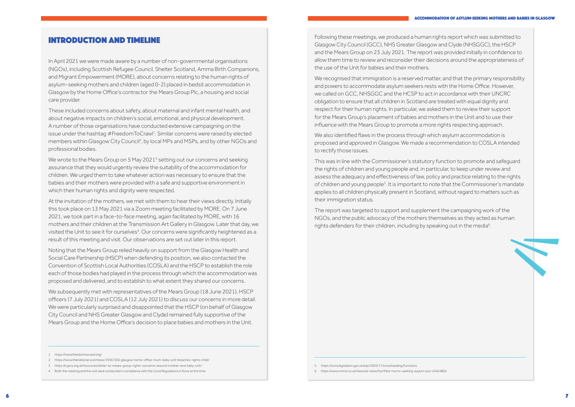Following these meetings, we produced a human rights report which was submitted to Glasgow City Council (GCC), NHS Greater Glasgow and Clyde (NHSGGC), the HSCP and the Mears Group on 23 July 2021. The report was provided initially in confidence to allow them time to review and reconsider their decisions around the appropriateness of the use of the Unit for babies and their mothers.

We recognised that immigration is a reserved matter, and that the primary responsibility and powers to accommodate asylum seekers rests with the Home Office. However, we called on GCC, NHSGGC and the HCSP to act in accordance with their UNCRC obligation to ensure that all children in Scotland are treated with equal dignity and respect for their human rights. In particular, we asked them to review their support for the Mears Group's placement of babies and mothers in the Unit and to use their influence with the Mears Group to promote a more rights respecting approach.

The report was targeted to support and supplement the campaigning work of the NGOs, and the public advocacy of the mothers themselves as they acted as human rights defenders for their children, including by speaking out in the media $^{\rm 6}$ .

We also identified flaws in the process through which asylum accommodation is proposed and approved in Glasgow. We made a recommendation to COSLA intended to rectify those issues.

This was in line with the Commissioner's statutory function to promote and safeguard the rights of children and young people and, in particular, to keep under review and assess the adequacy and effectiveness of law, policy and practice relating to the rights of children and young people<sup>5</sup>. It is important to note that the Commissioner's mandate applies to all children physically present in Scotland, without regard to matters such as their immigration status.

We wrote to the Mears Group on 5 May 2021 $^{\text{3}}$  setting out our concerns and seeking assurance that they would urgently review the suitability of the accommodation for children. We urged them to take whatever action was necessary to ensure that the babies and their mothers were provided with a safe and supportive environment in which their human rights and dignity were respected.

# INTRODUCTION AND TIMELINE

In April 2021 we were made aware by a number of non-governmental organisations (NGOs), including Scottish Refugee Council, Shelter Scotland, Amma Birth Companions, and Migrant Empowerment (MORE), about concerns relating to the human rights of asylum-seeking mothers and children (aged 0-2) placed in bedsit accommodation in Glasgow by the Home Office's contractor the Mears Group Plc, a housing and social care provider.

These included concerns about safety, about maternal and infant mental health, and about negative impacts on children's social, emotional, and physical development. A number of those organisations have conducted extensive campaigning on the issue under the hashtag #FreedomToCrawl $^{\rm 1}$ . Similar concerns were raised by elected members within Glasgow City Council2 , by local MPs and MSPs, and by other NGOs and professional bodies.

At the invitation of the mothers, we met with them to hear their views directly. Initially this took place on 13 May 2021 via a Zoom meeting facilitated by MORE. On 7 June 2021, we took part in a face-to-face meeting, again facilitated by MORE, with 16 mothers and their children at the Transmission Art Gallery in Glasgow. Later that day, we visited the Unit to see it for ourselves $^{\text{4}}$ . Our concerns were significantly heightened as a result of this meeting and visit. Our observations are set out later in this report.

Noting that the Mears Group relied heavily on support from the Glasgow Health and Social Care Partnership (HSCP) when defending its position, we also contacted the Convention of Scottish Local Authorities (COSLA) and the HSCP to establish the role each of those bodies had played in the process through which the accommodation was proposed and delivered, and to establish to what extent they shared our concerns.

We subsequently met with representatives of the Mears Group (18 June 2021), HSCP officers (7 July 2021) and COSLA (12 July 2021) to discuss our concerns in more detail. We were particularly surprised and disappointed that the HSCP (on behalf of Glasgow City Council and NHS Greater Glasgow and Clyde) remained fully supportive of the Mears Group and the Home Office's decision to place babies and mothers in the Unit.

<sup>5</sup> https://www.legislation.gov.uk/asp/2003/17/crossheading/functions

<sup>6</sup> https://www.mirror.co.uk/news/uk-news/horrified-mums-seeking-asylum-put-24424802

<sup>1</sup> https://www.freedomtocrawl.org/

<sup>2</sup> https://www.thenational.scot/news/19367262.glasgow-home-office-mum-baby-unit-breaches-rights-child/

<sup>3</sup> https://cypcs.org.uk/resources/letter-to-mears-group-rights-concerns-around-mother-and-baby-unit/

<sup>4</sup> Both the meeting and the visit were conducted in compliance with the Covid Regulations in force at the time.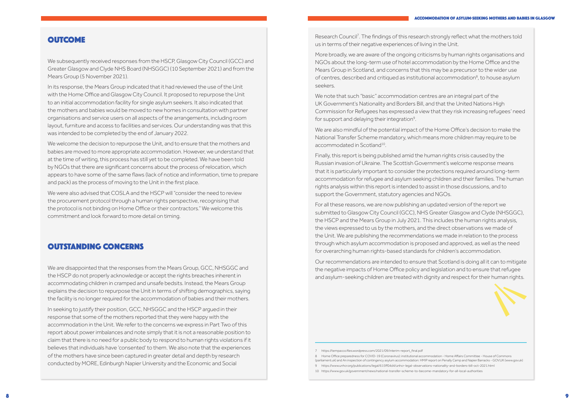# **OUTCOME**

#### Accommodation of asylum-seeking mothers and babies in Glasgow

Research Council 7 . The findings of this research strongly reflect what the mothers told us in terms of their negative experiences of living in the Unit.

More broadly, we are aware of the ongoing criticisms by human rights organisations and NGOs about the long-term use of hotel accommodation by the Home Office and the Mears Group in Scotland, and concerns that this may be a precursor to the wider use of centres, described and critiqued as institutional accommodation 8 , to house asylum seekers.

We note that such "basic" accommodation centres are an integral part of the UK Government's Nationality and Borders Bill, and that the United Nations High Commission for Refugees has expressed a view that they risk increasing refugees' need for support and delaying their integration 9 .

We are also mindful of the potential impact of the Home Office's decision to make the National Transfer Scheme mandatory, which means more children may require to be accommodated in Scotland10.

Finally, this report is being published amid the human rights crisis caused by the Russian invasion of Ukraine. The Scottish Government's welcome response means that it is particularly important to consider the protections required around long-term accommodation for refugee and asylum seeking children and their families. The human rights analysis within this report is intended to assist in those discussions, and to support the Government, statutory agencies and NGOs.

For all these reasons, we are now publishing an updated version of the report we submitted to Glasgow City Council (GCC), NHS Greater Glasgow and Clyde (NHSGGC), the HSCP and the Mears Group in July 2021. This includes the human rights analysis, the views expressed to us by the mothers, and the direct observations we made of the Unit. We are publishing the recommendations we made in relation to the process through which asylum accommodation is proposed and approved, as well as the need for overarching human rights-based standards for children's accommodation.

Our recommendations are intended to ensure that Scotland is doing all it can to mitigate the negative impacts of Home Office policy and legislation and to ensure that refugee



(parliament.uk) and An inspection of contingency asylum accommodation: HMIP report on Penally Camp and Napier Barracks - GOV.UK (www.gov.uk) 9 https://www.unhcr.org/publications/legal/615ff04d4/unhcr-legal-observations-nationality-and-borders-bill-oct-2021.html 10 https://www.gov.uk/government/news/national-transfer-scheme-to-become-mandatory-for-all-local-authorities

We subsequently received responses from the HSCP, Glasgow City Council (GCC) and Greater Glasgow and Clyde NHS Board (NHSGGC) (10 September 2021) and from the Mears Group (5 November 2021).

In its response, the Mears Group indicated that it had reviewed the use of the Unit with the Home Office and Glasgow City Council. It proposed to repurpose the Unit to an initial accommodation facility for single asylum seekers. It also indicated that the mothers and babies would be moved to new homes in consultation with partner organisations and service users on all aspects of the arrangements, including room layout, furniture and access to facilities and services. Our understanding was that this was intended to be completed by the end of January 2022.

We welcome the decision to repurpose the Unit, and to ensure that the mothers and babies are moved to more appropriate accommodation. However, we understand that at the time of writing, this process has still yet to be completed. We have been told by NGOs that there are significant concerns about the process of relocation, which appears to have some of the same flaws (lack of notice and information, time to prepare and pack) as the process of moving to the Unit in the first place.

We were also advised that COSLA and the HSCP will "consider the need to review the procurement protocol through a human rights perspective, recognising that the protocol is not binding on Home Office or their contractors." We welcome this commitment and look forward to more detail on timing.

# OUTSTANDING CONCERNS

We are disappointed that the responses from the Mears Group, GCC, NHSGGC and the HSCP do not properly acknowledge or accept the rights breaches inherent in accommodating children in cramped and unsafe bedsits. Instead, the Mears Group explains the decision to repurpose the Unit in terms of shifting demographics, saying the facility is no longer required for the accommodation of babies and their mothers.

In seeking to justify their position, GCC, NHSGGC and the HSCP argued in their response that some of the mothers reported that they were happy with the accommodation in the Unit. We refer to the concerns we express in Part Two of this report about power imbalances and note simply that it is not a reasonable position to claim that there is no need for a public body to respond to human rights violations if it believes that individuals have 'consented' to them. We also note that the experiences of the mothers have since been captured in greater detail and depth by research conducted by MORE, Edinburgh Napier University and the Economic and Social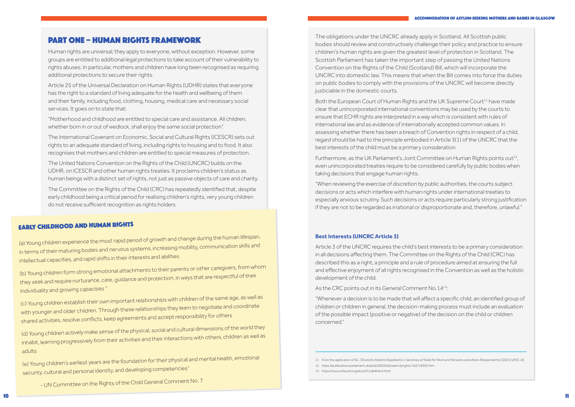The obligations under the UNCRC already apply in Scotland. All Scottish public bodies should review and constructively challenge their policy and practice to ensure children's human rights are given the greatest level of protection in Scotland. The Scottish Parliament has taken the important step of passing the United Nations Convention on the Rights of the Child (Scotland) Bill, which will incorporate the UNCRC into domestic law. This means that when the Bill comes into force the duties on public bodies to comply with the provisions of the UNCRC will become directly justiciable in the domestic courts.

Both the European Court of Human Rights and the UK Supreme Court<sup>11</sup> have made clear that unincorporated international conventions may be used by the courts to ensure that ECHR rights are interpreted in a way which is consistent with rules of international law and as evidence of internationally accepted common values. In assessing whether there has been a breach of Convention rights in respect of a child, regard should be had to the principle embodied in Article 3(1) of the UNCRC that the best interests of the child must be a primary consideration.

Furthermore, as the UK Parliament's Joint Committee on Human Rights points out<sup>12</sup>. even unincorporated treaties require to be considered carefully by public bodies when taking decisions that engage human rights.

"When reviewing the exercise of discretion by public authorities, the courts subject decisions or acts which interfere with human rights under international treaties to especially anxious scrutiny. Such decisions or acts require particularly strong justification if they are not to be regarded as irrational or disproportionate and, therefore, unlawful."

#### **Best Interests (UNCRC Article 3)**

Article 3 of the UNCRC requires the child's best interests to be a primary consideration in all decisions affecting them. The Committee on the Rights of the Child (CRC) has described this as a right, a principle and a rule of procedure aimed at ensuring the full and effective enjoyment of all rights recognised in the Convention as well as the holistic development of the child.

As the CRC points out in its General Comment No. 14<sup>13</sup>:

"Whenever a decision is to be made that will affect a specific child, an identified group of children or children in general, the decision-making process must include an evaluation of the possible impact (positive or negative) of the decision on the child or children concerned."

12 https://publications.parliament.uk/pa/jt200304/jtselect/jtrights/183/18305.htm

13 https://www.refworld.org/docid/51a84b5e4.html

# PART ONE – HUMAN RIGHTS FRAMEWORK

Human rights are universal; they apply to everyone, without exception. However, some groups are entitled to additional legal protections to take account of their vulnerability to rights abuses. In particular, mothers and children have long been recognised as requiring additional protections to secure their rights.

Article 25 of the Universal Declaration on Human Rights (UDHR) states that everyone has the right to a standard of living adequate for the health and wellbeing of them and their family, including food, clothing, housing, medical care and necessary social services. It goes on to state that:

"Motherhood and childhood are entitled to special care and assistance. All children, whether born in or out of wedlock, shall enjoy the same social protection".

The International Covenant on Economic, Social and Cultural Rights (ICESCR) sets out rights to an adequate standard of living, including rights to housing and to food. It also recognises that mothers and children are entitled to special measures of protection.

The United Nations Convention on the Rights of the Child (UNCRC) builds on the UDHR, on ICESCR and other human rights treaties. It proclaims children's status as human beings with a distinct set of rights, not just as passive objects of care and charity.

The Committee on the Rights of the Child (CRC) has repeatedly identified that, despite early childhood being a critical period for realising children's rights, very young children do not receive sufficient recognition as rights holders.

# Early Childhood and Human Rights

*(*a) Young children experience the most rapid period of growth and change during the human lifespan, in terms of their maturing bodies and nervous systems, increasing mobility, communication skills and intellectual capacities, and rapid shifts in their interests and abilities

(b) Young children form strong emotional attachments to their parents or other caregivers, from whom they seek and require nurturance, care, guidance and protection, in ways that are respectful of their individuality and growing capacities "

(c) Young children establish their own important relationships with children of the same age, as well as with younger and older children. Through these relationships they learn to negotiate and coordinate shared activities, resolve conflicts, keep agreements and accept responsibility for others

(d) Young children actively make sense of the physical, social and cultural dimensions of the world they inhabit, learning progressively from their activities and their interactions with others, children as well as adults

(e) Young children's earliest years are the foundation for their physical and mental health, emotional security, cultural and personal identity, and developing competencies"

- UN Committee on the Rights of the Child General Comment No. 7

<sup>11</sup> R (on the application of SC, CB and 8 children) (Appellants) v Secretary of State for Work and Pensions and others (Respondents) [2021] UKSC 26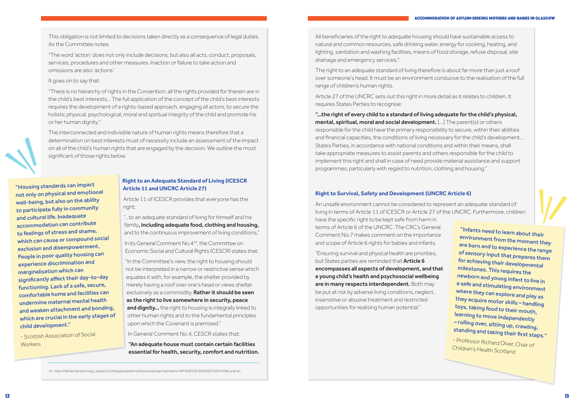All beneficiaries of the right to adequate housing should have sustainable access to natural and common resources, safe drinking water, energy for cooking, heating, and lighting, sanitation and washing facilities, means of food storage, refuse disposal, site drainage and emergency services;".

The right to an adequate standard of living therefore is about far more than just a roof over someone's head. It must be an environment conducive to the realisation of the full range of children's human rights.

Article 27 of the UNCRC sets out this right in more detail as it relates to children. It requires States Parties to recognise:

"…the right of every child to a standard of living adequate for the child's physical, mental, spiritual, moral and social development. […] The parent(s) or others responsible for the child have the primary responsibility to secure, within their abilities and financial capacities, the conditions of living necessary for the child's development…. States Parties, in accordance with national conditions and within their means, shall take appropriate measures to assist parents and others responsible for the child to implement this right and shall in case of need provide material assistance and support programmes, particularly with regard to nutrition, clothing and housing."

but States parties are reminded that **Article 6** insensitive or abusive treatment and restricted opportunities for realising human potential."

# **Right to Survival, Safety and Development (UNCRC Article 6)**

This obligation is not limited to decisions taken directly as a consequence of legal duties. As the Committee notes:

"The word 'action' does not only include decisions, but also all acts, conduct, proposals, services, procedures and other measures. Inaction or failure to take action and omissions are also 'actions'.

- Scottish Association of Social **Workers** 

It goes on to say that:

"There is no hierarchy of rights in the Convention; all the rights provided for therein are in the child's best interests… The full application of the concept of the child's best interests requires the development of a rights-based approach, engaging all actors, to secure the holistic physical, psychological, moral and spiritual integrity of the child and promote his or her human dignity."

> - Professor Richard Olver, Chair of Children's Health Scotland

The interconnected and indivisible nature of human rights means therefore that a determination on best interests must of necessity include an assessment of the impact on all of the child's human rights that are engaged by the decision. We outline the most significant of those rights below.

# **Right to an Adequate Standard of Living (ICESCR Article 11 and UNCRC Article 27)**

Article 11 of ICESCR provides that everyone has the right:

"…to an adequate standard of living for himself and his family, including adequate food, clothing and housing, and to the continuous improvement of living conditions."

An unsafe environment cannot be considered to represent an adequate standard of living in terms of Article 11 of ICESCR or Article 27 of the UNCRC. Furthermore, children have the specific right to be kept safe from harm in terms of Article 6 of the UNCRC. The CRC's General Comment No.7 makes comment on the importance and scope of Article 6 rights for babies and infants. "Ensuring survival and physical health are priorities, encompasses all aspects of development, and that a young child's health and psychosocial wellbeing are in many respects interdependent. Both may be put at risk by adverse living conditions, neglect, "Infants need to learn about their environment from the moment they are born and to experience the range of sensory input that prepares them for achieving their developmental milestones. This requires the newborn and young infant to live in a safe and stimulating environment where they can explore and play as they acquire motor skills – handling toys, taking food to their mouth, learning to move independently – rolling over, sitting up, crawling, standing and taking their first steps."

In its General Comment No.414, the Committee on Economic Social and Cultural Rights (CESCR) states that:

"In the Committee's view, the right to housing should not be interpreted in a narrow or restrictive sense which equates it with, for example, the shelter provided by merely having a roof over one's head or views shelter exclusively as a commodity. Rather it should be seen as the right to live somewhere in security, peace and dignity... the right to housing is integrally linked to other human rights and to the fundamental principles upon which the Covenant is premised."

In General Comment No.4, CESCR states that:

"An adequate house must contain certain facilities essential for health, security, comfort and nutrition.

14 https://tbinternet.ohchr.org/\_layouts/15/treatybodyexternal/Download.aspx?symbolno=INT%2fCESCR%2fGEC%2f4759&Lang=en

"Housing standards can impact not only on physical and emotional well-being, but also on the ability to participate fully in community and cultural life. Inadequate accommodation can contribute to feelings of stress and shame, which can cause or compound social exclusion and disempowerment. People in poor quality housing can experience discrimination and marginalisation which can significantly affect their day-to-day functioning. Lack of a safe, secure, comfortable home and facilities can undermine maternal mental health and weaken attachment and bonding, which are crucial in the early stages o<sup>f</sup> child development."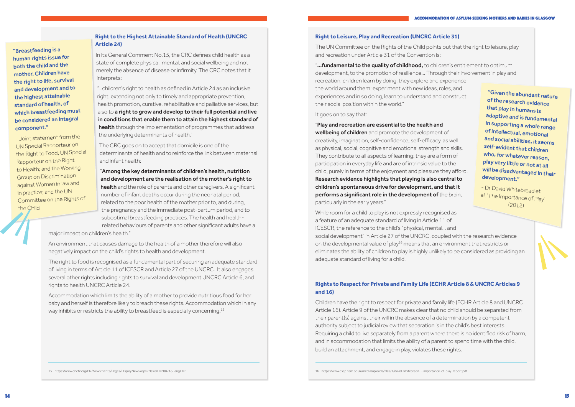- 
- 

# **Right to Leisure, Play and Recreation (UNCRC Article 31)**

The UN Committee on the Rights of the Child points out that the right to leisure, play and recreation under Article 31 of the Convention is:

"...fundamental to the quality of childhood, to children's entitlement to optimum development, to the promotion of resilience… Through their involvement in play and recreation, children learn by doing; they explore and experience the world around them; experiment with new ideas, roles, and experiences and in so doing, learn to understand and construct their social position within the world."

## It goes on to say that:

"Play and recreation are essential to the health and wellbeing of children and promote the development of creativity, imagination, self-confidence, self-efficacy, as well as physical, social, cognitive and emotional strength and skills. They contribute to all aspects of learning; they are a form of participation in everyday life and are of intrinsic value to the child, purely in terms of the enjoyment and pleasure they afford. Research evidence highlights that playing is also central to children's spontaneous drive for development, and that it performs a significant role in the development of the brain, particularly in the early years."

While room for a child to play is not expressly recognised as a feature of an adequate standard of living in Article 11 of ICESCR, the reference to the child's "physical, mental… and social development" in Article 27 of the UNCRC, coupled with the research evidence on the developmental value of play<sup>16</sup> means that an environment that restricts or eliminates the ability of children to play is highly unlikely to be considered as providing an adequate standard of living for a child.

# **Rights to Respect for Private and Family Life (ECHR Article 8 & UNCRC Articles 9 and 16)**

health and the role of parents and other caregivers. A significant number of infant deaths occur during the neonatal period, related to the poor health of the mother prior to, and during, the pregnancy and the immediate post-partum period, and to suboptimal breastfeeding practices. The health and healthrelated behaviours of parents and other significant adults have a

> Children have the right to respect for private and family life (ECHR Article 8 and UNCRC Article 16). Article 9 of the UNCRC makes clear that no child should be separated from their parent(s) against their will in the absence of a determination by a competent authority subject to judicial review that separation is in the child's best interests. Requiring a child to live separately from a parent where there is no identified risk of harm, and in accommodation that limits the ability of a parent to spend time with the child, build an attachment, and engage in play, violates these rights.

Accommodation which limits the ability of a mother to provide nutritious food for her baby and herself is therefore likely to breach these rights. Accommodation which in any way inhibits or restricts the ability to breastfeed is especially concerning.<sup>15</sup>

16 https://www.csap.cam.ac.uk/media/uploads/files/1/david-whitebread---importance-of-play-report.pdf

# **Right to the Highest Attainable Standard of Health (UNCRC Article 24)**

In its General Comment No.15, the CRC defines child health as a state of complete physical, mental, and social wellbeing and not merely the absence of disease or infirmity. The CRC notes that it interprets:

"...children's right to health as defined in Article 24 as an inclusive right, extending not only to timely and appropriate prevention, health promotion, curative, rehabilitative and palliative services, but also to a right to grow and develop to their full potential and live in conditions that enable them to attain the highest standard of health through the implementation of programmes that address the underlying determinants of health."

The CRC goes on to accept that domicile is one of the determinants of health and to reinforce the link between maternal and infant health:

# "Among the key determinants of children's health, nutrition and development are the realisation of the mother's right to

major impact on children's health."

An environment that causes damage to the health of a mother therefore will also negatively impact on the child's rights to health and development.

The right to food is recognised as a fundamental part of securing an adequate standard of living in terms of Article 11 of ICESCR and Article 27 of the UNCRC. It also engages several other rights including rights to survival and development UNCRC Article 6, and rights to health UNCRC Article 24.

15 https://www.ohchr.org/EN/NewsEvents/Pages/DisplayNews.aspx?NewsID=20871&LangID=E

"Breastfeeding is a human rights issue for both the child and the mother. Children have the right to life, survival and development and to the highest attainable standard of health, of which breastfeeding must be considered an integra<sup>l</sup> component."

- Joint statement from the UN Special Rapporteur on the Right to Food; UN Special Rapporteur on the Right to Health; and the Working Group on Discrimination against Women in law an<sup>d</sup> in practice; and the UN Committee on the Rights of the Child

"Given the abundant nature of the research evidence that play in humans is adaptive and is fundamental in supporting a whole range of intellectual, emotional and social abilities, it seems self-evident that children who, for whatever reason, play very little or not at all will be disadvantaged in their development."

- Dr David Whitebread et al, 'The Importance of Play' (2012)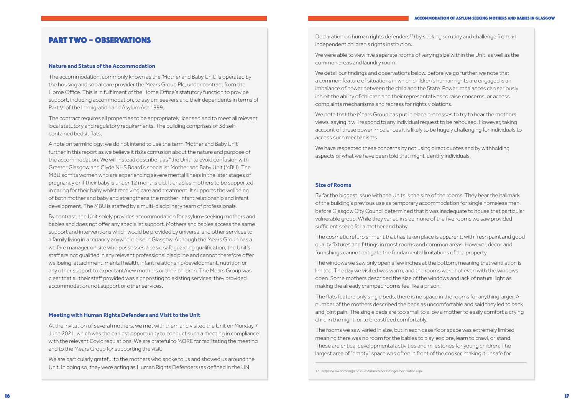Declaration on human rights defenders<sup>17</sup>) by seeking scrutiny and challenge from an independent children's rights institution.

We were able to view five separate rooms of varying size within the Unit, as well as the common areas and laundry room.

We detail our findings and observations below. Before we go further, we note that a common feature of situations in which children's human rights are engaged is an imbalance of power between the child and the State. Power imbalances can seriously inhibit the ability of children and their representatives to raise concerns, or access complaints mechanisms and redress for rights violations.

We note that the Mears Group has put in place processes to try to hear the mothers' views, saying it will respond to any individual request to be rehoused. However, taking account of these power imbalances it is likely to be hugely challenging for individuals to access such mechanisms

We have respected these concerns by not using direct quotes and by withholding aspects of what we have been told that might identify individuals.

### **Size of Rooms**

By far the biggest issue with the Units is the size of the rooms. They bear the hallmark of the building's previous use as temporary accommodation for single homeless men, before Glasgow City Council determined that it was inadequate to house that particular vulnerable group. While they varied in size, none of the five rooms we saw provided sufficient space for a mother and baby.

The cosmetic refurbishment that has taken place is apparent, with fresh paint and good quality fixtures and fittings in most rooms and common areas. However, décor and furnishings cannot mitigate the fundamental limitations of the property.

The windows we saw only open a few inches at the bottom, meaning that ventilation is limited. The day we visited was warm, and the rooms were hot even with the windows open. Some mothers described the size of the windows and lack of natural light as making the already cramped rooms feel like a prison.

The flats feature only single beds, there is no space in the rooms for anything larger. A number of the mothers described the beds as uncomfortable and said they led to back and joint pain. The single beds are too small to allow a mother to easily comfort a crying child in the night, or to breastfeed comfortably.

The rooms we saw varied in size, but in each case floor space was extremely limited, meaning there was no room for the babies to play, explore, learn to crawl, or stand. These are critical developmental activities and milestones for young children. The largest area of "empty" space was often in front of the cooker, making it unsafe for

# PART TWO – OBSERVATIONS

#### **Nature and Status of the Accommodation**

The accommodation, commonly known as the 'Mother and Baby Unit', is operated by the housing and social care provider the Mears Group Plc, under contract from the Home Office. This is in fulfilment of the Home Office's statutory function to provide support, including accommodation, to asylum seekers and their dependents in terms of Part VI of the Immigration and Asylum Act 1999.

The contract requires all properties to be appropriately licensed and to meet all relevant local statutory and regulatory requirements. The building comprises of 38 selfcontained bedsit flats.

A note on terminology: we do not intend to use the term 'Mother and Baby Unit' further in this report as we believe it risks confusion about the nature and purpose of the accommodation. We will instead describe it as "the Unit" to avoid confusion with Greater Glasgow and Clyde NHS Board's specialist Mother and Baby Unit (MBU). The MBU admits women who are experiencing severe mental illness in the later stages of pregnancy or if their baby is under 12 months old. It enables mothers to be supported in caring for their baby whilst receiving care and treatment. It supports the wellbeing of both mother and baby and strengthens the mother-infant relationship and infant development. The MBU is staffed by a multi-disciplinary team of professionals.

By contrast, the Unit solely provides accommodation for asylum-seeking mothers and babies and does not offer any specialist support. Mothers and babies access the same support and interventions which would be provided by universal and other services to a family living in a tenancy anywhere else in Glasgow. Although the Mears Group has a welfare manager on site who possesses a basic safeguarding qualification, the Unit's staff are not qualified in any relevant professional discipline and cannot therefore offer wellbeing, attachment, mental health, infant relationship/development, nutrition or any other support to expectant/new mothers or their children. The Mears Group was clear that all their staff provided was signposting to existing services; they provided accommodation, not support or other services.

#### **Meeting with Human Rights Defenders and Visit to the Unit**

At the invitation of several mothers, we met with them and visited the Unit on Monday 7 June 2021, which was the earliest opportunity to conduct such a meeting in compliance with the relevant Covid regulations. We are grateful to MORE for facilitating the meeting and to the Mears Group for supporting the visit.

We are particularly grateful to the mothers who spoke to us and showed us around the Unit. In doing so, they were acting as Human Rights Defenders (as defined in the UN

<sup>17</sup> https://www.ohchr.org/en/issues/srhrdefenders/pages/declaration.aspx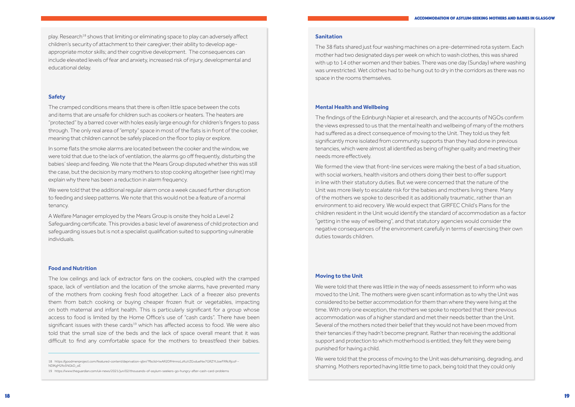#### **Sanitation**

The 38 flats shared just four washing machines on a pre-determined rota system. Each mother had two designated days per week on which to wash clothes, this was shared with up to 14 other women and their babies. There was one day (Sunday) where washing was unrestricted. Wet clothes had to be hung out to dry in the corridors as there was no space in the rooms themselves.

#### **Mental Health and Wellbeing**

The findings of the Edinburgh Napier et al research, and the accounts of NGOs confirm the views expressed to us that the mental health and wellbeing of many of the mothers had suffered as a direct consequence of moving to the Unit. They told us they felt significantly more isolated from community supports than they had done in previous tenancies, which were almost all identified as being of higher quality and meeting their needs more effectively.

We formed the view that front-line services were making the best of a bad situation, with social workers, health visitors and others doing their best to offer support in line with their statutory duties. But we were concerned that the nature of the Unit was more likely to escalate risk for the babies and mothers living there. Many of the mothers we spoke to described it as additionally traumatic, rather than an environment to aid recovery. We would expect that GIRFEC Child's Plans for the children resident in the Unit would identify the standard of accommodation as a factor "getting in the way of wellbeing", and that statutory agencies would consider the negative consequences of the environment carefully in terms of exercising their own duties towards children.

play. Research<sup>18</sup> shows that limiting or eliminating space to play can adversely affect children's security of attachment to their caregiver; their ability to develop ageappropriate motor skills; and their cognitive development. The consequences can include elevated levels of fear and anxiety, increased risk of injury, developmental and educational delay.

#### **Moving to the Unit**

We were told that there was little in the way of needs assessment to inform who was moved to the Unit. The mothers were given scant information as to why the Unit was considered to be better accommodation for them than where they were living at the time. With only one exception, the mothers we spoke to reported that their previous accommodation was of a higher standard and met their needs better than the Unit. Several of the mothers noted their belief that they would not have been moved from their tenancies if they hadn't become pregnant. Rather than receiving the additional support and protection to which motherhood is entitled, they felt they were being punished for having a child.

We were told that the process of moving to the Unit was dehumanising, degrading, and shaming. Mothers reported having little time to pack, being told that they could only

#### **Safety**

The cramped conditions means that there is often little space between the cots and items that are unsafe for children such as cookers or heaters. The heaters are "protected" by a barred cover with holes easily large enough for children's fingers to pass through. The only real area of "empty" space in most of the flats is in front of the cooker, meaning that children cannot be safely placed on the floor to play or explore.

In some flats the smoke alarms are located between the cooker and the window, we were told that due to the lack of ventilation, the alarms go off frequently, disturbing the babies' sleep and feeding. We note that the Mears Group disputed whether this was still the case, but the decision by many mothers to stop cooking altogether (see right) may explain why there has been a reduction in alarm frequency.

We were told that the additional regular alarm once a week caused further disruption to feeding and sleep patterns. We note that this would not be a feature of a normal tenancy.

A Welfare Manager employed by the Mears Group is onsite they hold a Level 2 Safeguarding certificate. This provides a basic level of awareness of child protection and safeguarding issues but is not a specialist qualification suited to supporting vulnerable individuals.

#### **Food and Nutrition**

The low ceilings and lack of extractor fans on the cookers, coupled with the cramped space, lack of ventilation and the location of the smoke alarms, have prevented many of the mothers from cooking fresh food altogether. Lack of a freezer also prevents them from batch cooking or buying cheaper frozen fruit or vegetables, impacting on both maternal and infant health. This is particularly significant for a group whose access to food is limited by the Home Office's use of "cash cards". There have been significant issues with these cards<sup>19</sup> which has affected access to food. We were also told that the small size of the beds and the lack of space overall meant that it was difficult to find any comfortable space for the mothers to breastfeed their babies.

<sup>18</sup> https://goodmenproject.com/featured-content/deprivation-sjbn/?fbclid=IwAR2DfHmnoLzKuVZGvdueNw7GRZYtJoeFRRcRjcof-- NDlKgM2fo5NGkD\_oE

<sup>19</sup> https://www.theguardian.com/uk-news/2021/jun/02/thousands-of-asylum-seekers-go-hungry-after-cash-card-problems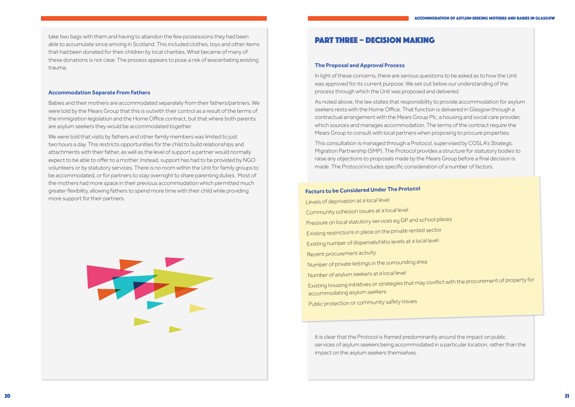# PART THREE – DECISION MAKING

#### **The Proposal and Approval Process**

In light of these concerns, there are serious questions to be asked as to how the Unit was approved for its current purpose. We set out below our understanding of the process through which the Unit was proposed and delivered.

As noted above, the law states that responsibility to provide accommodation for asylum seekers rests with the Home Office. That function is delivered in Glasgow through a contractual arrangement with the Mears Group Plc, a housing and social care provider, which sources and manages accommodation. The terms of the contract require the Mears Group to consult with local partners when proposing to procure properties.

This consultation is managed through a Protocol, supervised by COSLA's Strategic Migration Partnership (SMP). The Protocol provides a structure for statutory bodies to raise any objections to proposals made by the Mears Group before a final decision is made. The Protocol includes specific consideration of a number of factors.

It is clear that the Protocol is framed predominantly around the impact on public services of asylum seekers being accommodated in a particular location, rather than the impact on the asylum seekers themselves.

take two bags with them and having to abandon the few possessions they had been able to accumulate since arriving in Scotland. This included clothes, toys and other items that had been donated for their children by local charities. What became of many of these donations is not clear. The process appears to pose a risk of exacerbating existing trauma.

#### **Accommodation Separate From Fathers**

Babies and their mothers are accommodated separately from their fathers/partners. We were told by the Mears Group that this is outwith their control as a result of the terms of the immigration legislation and the Home Office contract, but that where both parents are asylum seekers they would be accommodated together.

We were told that visits by fathers and other family members was limited to just two hours a day. This restricts opportunities for the child to build relationships and attachments with their father, as well as the level of support a partner would normally expect to be able to offer to a mother. Instead, support has had to be provided by NGO volunteers or by statutory services. There is no room within the Unit for family groups to be accommodated, or for partners to stay overnight to share parenting duties. Most of the mothers had more space in their previous accommodation which permitted much greater flexibility, allowing fathers to spend more time with their child while providing more support for their partners.



# **Factors to be Considered Under The Protocol**

Levels of deprivation at a local level Community cohesion issues at a local level Pressure on local statutory services eg GP and school places Existing restrictions in place on the private rented sector Existing number of dispersals/ratio levels at a local level Recent procurement activity Number of private lettings in the surrounding area Number of asylum seekers at a local level Existing housing initiatives or strategies that may conflict with the procurement of property for accommodating asylum seekers

Public protection or community safety issues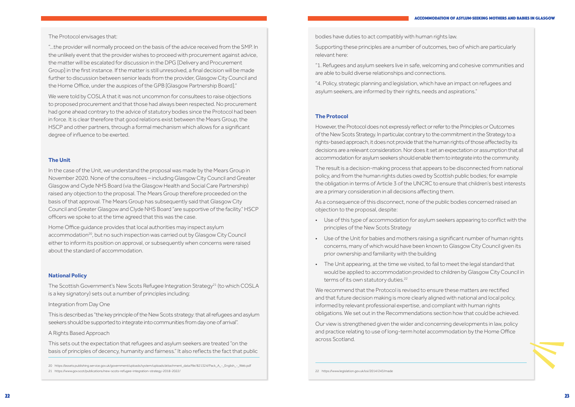

bodies have duties to act compatibly with human rights law.

Supporting these principles are a number of outcomes, two of which are particularly relevant here:

"1. Refugees and asylum seekers live in safe, welcoming and cohesive communities and are able to build diverse relationships and connections.

"4. Policy, strategic planning and legislation, which have an impact on refugees and asylum seekers, are informed by their rights, needs and aspirations."

#### **The Protocol**

- Use of this type of accommodation for asylum seekers appearing to conflict with the principles of the New Scots Strategy
- Use of the Unit for babies and mothers raising a significant number of human rights concerns, many of which would have been known to Glasgow City Council given its prior ownership and familiarity with the building
- The Unit appearing, at the time we visited, to fail to meet the legal standard that would be applied to accommodation provided to children by Glasgow City Council in terms of its own statutory duties.<sup>22</sup>

However, the Protocol does not expressly reflect or refer to the Principles or Outcomes of the New Scots Strategy. In particular, contrary to the commitment in the Strategy to a rights-based approach, it does not provide that the human rights of those affected by its decisions are a relevant consideration. Nor does it set an expectation or assumption that all accommodation for asylum seekers should enable them to integrate into the community.

The result is a decision-making process that appears to be disconnected from national policy, and from the human rights duties owed by Scottish public bodies; for example the obligation in terms of Article 3 of the UNCRC to ensure that children's best interests are a primary consideration in all decisions affecting them.

As a consequence of this disconnect, none of the public bodies concerned raised an objection to the proposal, despite:

We recommend that the Protocol is revised to ensure these matters are rectified and that future decision making is more clearly aligned with national and local policy, informed by relevant professional expertise, and compliant with human rights obligations. We set out in the Recommendations section how that could be achieved.

The Scottish Government's New Scots Refugee Integration Strategy<sup>21</sup> (to which COSLA is a key signatory) sets out a number of principles including:

> Our view is strengthened given the wider and concerning developments in law, policy and practice relating to use of long-term hotel accommodation by the Home Office across Scotland.

22 https://www.legislation.gov.uk/ssi/2014/243/made

The Protocol envisages that:

"…the provider will normally proceed on the basis of the advice received from the SMP. In the unlikely event that the provider wishes to proceed with procurement against advice, the matter will be escalated for discussion in the DPG [Delivery and Procurement Group] in the first instance. If the matter is still unresolved, a final decision will be made further to discussion between senior leads from the provider, Glasgow City Council and the Home Office, under the auspices of the GPB [Glasgow Partnership Board]."

We were told by COSLA that it was not uncommon for consultees to raise objections to proposed procurement and that those had always been respected. No procurement had gone ahead contrary to the advice of statutory bodies since the Protocol had been in force. It is clear therefore that good relations exist between the Mears Group, the HSCP and other partners, through a formal mechanism which allows for a significant degree of influence to be exerted.

#### **The Unit**

In the case of the Unit, we understand the proposal was made by the Mears Group in November 2020. None of the consultees – including Glasgow City Council and Greater Glasgow and Clyde NHS Board (via the Glasgow Health and Social Care Partnership) raised any objection to the proposal. The Mears Group therefore proceeded on the basis of that approval. The Mears Group has subsequently said that Glasgow City Council and Greater Glasgow and Clyde NHS Board "are supportive of the facility." HSCP officers we spoke to at the time agreed that this was the case.

Home Office guidance provides that local authorities may inspect asylum accommodation<sup>20</sup>, but no such inspection was carried out by Glasgow City Council either to inform its position on approval, or subsequently when concerns were raised about the standard of accommodation.

#### **National Policy**

#### Integration from Day One

This is described as "the key principle of the New Scots strategy: that all refugees and asylum seekers should be supported to integrate into communities from day one of arrival".

#### A Rights Based Approach

This sets out the expectation that refugees and asylum seekers are treated "on the basis of principles of decency, humanity and fairness." It also reflects the fact that public

20 https://assets.publishing.service.gov.uk/government/uploads/system/uploads/attachment\_data/file/821324/Pack\_A\_-\_English\_-\_Web.pdf 21 https://www.gov.scot/publications/new-scots-refugee-integration-strategy-2018-2022/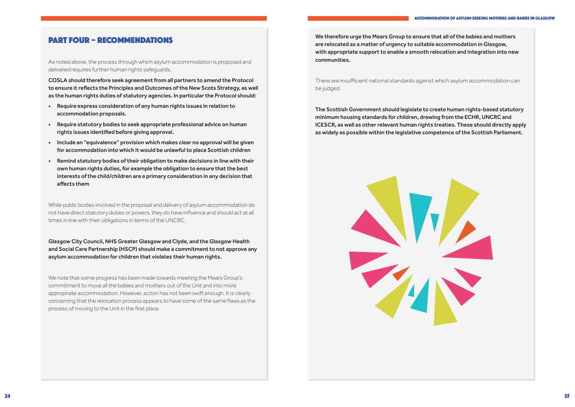We therefore urge the Mears Group to ensure that all of the babies and mothers are relocated as a matter of urgency to suitable accommodation in Glasgow, with appropriate support to enable a smooth relocation and integration into new communities.

There are insufficient national standards against which asylum accommodation can be judged.

The Scottish Government should legislate to create human rights-based statutory minimum housing standards for children, drawing from the ECHR, UNCRC and ICESCR, as well as other relevant human rights treaties. These should directly apply as widely as possible within the legislative competence of the Scottish Parliament.



# PART FOUR – RECOMMENDATIONS

As noted above, the process through which asylum accommodation is proposed and delivered requires further human rights safeguards.

COSLA should therefore seek agreement from all partners to amend the Protocol to ensure it reflects the Principles and Outcomes of the New Scots Strategy, as well as the human rights duties of statutory agencies. In particular the Protocol should:

- Require express consideration of any human rights issues in relation to accommodation proposals.
- Require statutory bodies to seek appropriate professional advice on human rights issues identified before giving approval.
- Include an "equivalence" provision which makes clear no approval will be given for accommodation into which it would be unlawful to place Scottish children
- Remind statutory bodies of their obligation to make decisions in line with their own human rights duties, for example the obligation to ensure that the best interests of the child/children are a primary consideration in any decision that affects them

While public bodies involved in the proposal and delivery of asylum accommodation do not have direct statutory duties or powers, they do have influence and should act at all times in line with their obligations in terms of the UNCRC.

Glasgow City Council, NHS Greater Glasgow and Clyde, and the Glasgow Health and Social Care Partnership (HSCP) should make a commitment to not approve any asylum accommodation for children that violates their human rights.

We note that some progress has been made towards meeting the Mears Group's commitment to move all the babies and mothers out of the Unit and into more appropriate accommodation. However, action has not been swift enough. It is clearly concerning that the relocation process appears to have some of the same flaws as the process of moving to the Unit in the first place.